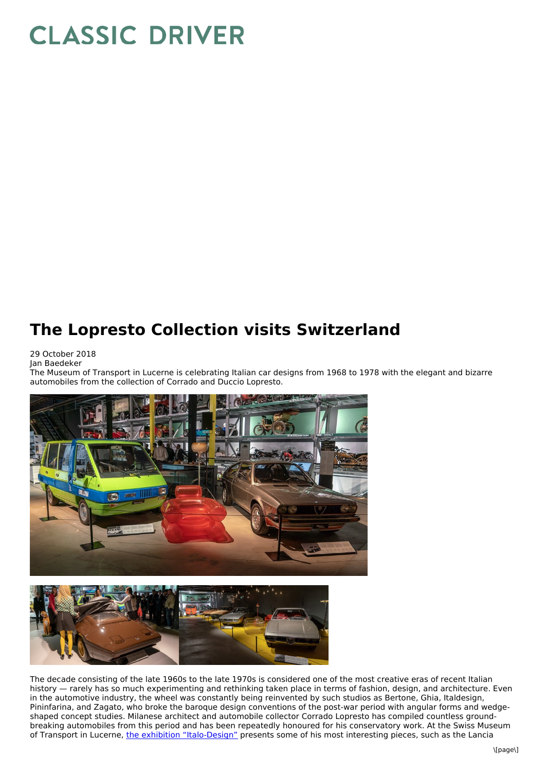## **CLASSIC DRIVER**

## **The Lopresto Collection visits Switzerland**

## 29 October 2018 Jan Baedeker

The Museum of Transport in Lucerne is celebrating Italian car designs from 1968 to 1978 with the elegant and bizarre automobiles from the collection of Corrado and Duccio Lopresto.





The decade consisting of the late 1960s to the late 1970s is considered one of the most creative eras of recent Italian history — rarely has so much experimenting and rethinking taken place in terms of fashion, design, and architecture. Even in the automotive industry, the wheel was constantly being reinvented by such studios as Bertone, Ghia, Italdesign, Pininfarina, and Zagato, who broke the baroque design conventions of the post-war period with angular forms and wedgeshaped concept studies. Milanese architect and automobile collector Corrado Lopresto has compiled countless groundbreaking automobiles from this period and has been repeatedly honoured for his conservatory work. At the Swiss Museum of Transport in Lucerne, the exhibition ["Italo-Design"](http://www.verkehrshaus.ch/besuchen/museum/mobilitaet/strassenverkehr/italo-design-1968-bis-1978.html) presents some of his most interesting pieces, such as the Lancia